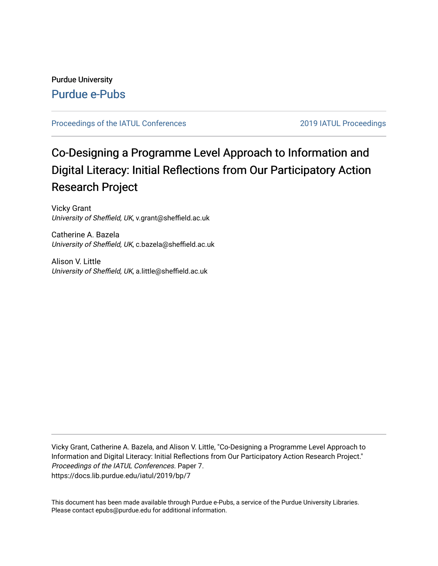### Purdue University [Purdue e-Pubs](https://docs.lib.purdue.edu/)

### [Proceedings of the IATUL Conferences](https://docs.lib.purdue.edu/iatul) 2019 2019 IATUL Proceedings

# Co-Designing a Programme Level Approach to Information and Digital Literacy: Initial Reflections from Our Participatory Action Research Project

Vicky Grant University of Sheffield, UK, v.grant@sheffield.ac.uk

Catherine A. Bazela University of Sheffield, UK, c.bazela@sheffield.ac.uk

Alison V. Little University of Sheffield, UK, a.little@sheffield.ac.uk

Vicky Grant, Catherine A. Bazela, and Alison V. Little, "Co-Designing a Programme Level Approach to Information and Digital Literacy: Initial Reflections from Our Participatory Action Research Project." Proceedings of the IATUL Conferences. Paper 7. https://docs.lib.purdue.edu/iatul/2019/bp/7

This document has been made available through Purdue e-Pubs, a service of the Purdue University Libraries. Please contact epubs@purdue.edu for additional information.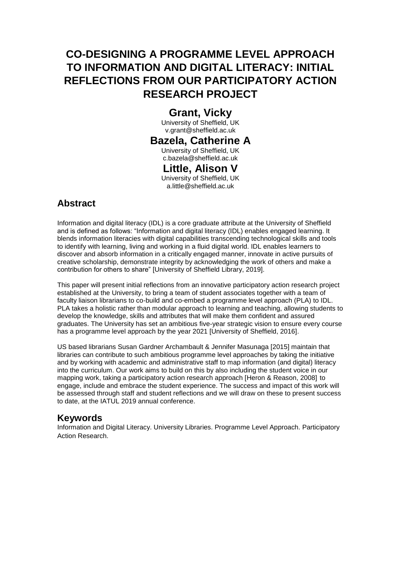## **CO-DESIGNING A PROGRAMME LEVEL APPROACH TO INFORMATION AND DIGITAL LITERACY: INITIAL REFLECTIONS FROM OUR PARTICIPATORY ACTION RESEARCH PROJECT**

### **Grant, Vicky**

University of Sheffield, UK v.grant@sheffield.ac.uk

## **Bazela, Catherine A**

University of Sheffield, UK c.bazela@sheffield.ac.uk

### **Little, Alison V**

University of Sheffield, UK a.little@sheffield.ac.uk

### **Abstract**

Information and digital literacy (IDL) is a core graduate attribute at the University of Sheffield and is defined as follows: "Information and digital literacy (IDL) enables engaged learning. It blends information literacies with digital capabilities transcending technological skills and tools to identify with learning, living and working in a fluid digital world. IDL enables learners to discover and absorb information in a critically engaged manner, innovate in active pursuits of creative scholarship, demonstrate integrity by acknowledging the work of others and make a contribution for others to share" [University of Sheffield Library, 2019].

This paper will present initial reflections from an innovative participatory action research project established at the University, to bring a team of student associates together with a team of faculty liaison librarians to co-build and co-embed a programme level approach (PLA) to IDL. PLA takes a holistic rather than modular approach to learning and teaching, allowing students to develop the knowledge, skills and attributes that will make them confident and assured graduates. The University has set an ambitious five-year strategic vision to ensure every course has a programme level approach by the year 2021 [University of Sheffield, 2016].

US based librarians Susan Gardner Archambault & Jennifer Masunaga [2015] maintain that libraries can contribute to such ambitious programme level approaches by taking the initiative and by working with academic and administrative staff to map information (and digital) literacy into the curriculum. Our work aims to build on this by also including the student voice in our mapping work, taking a participatory action research approach [Heron & Reason, 2008] to engage, include and embrace the student experience. The success and impact of this work will be assessed through staff and student reflections and we will draw on these to present success to date, at the IATUL 2019 annual conference.

### **Keywords**

Information and Digital Literacy. University Libraries. Programme Level Approach. Participatory Action Research.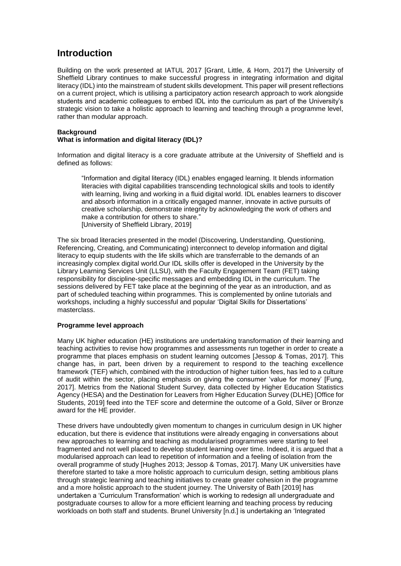### **Introduction**

Building on the work presented at IATUL 2017 [Grant, Little, & Horn, 2017] the University of Sheffield Library continues to make successful progress in integrating information and digital literacy (IDL) into the mainstream of student skills development. This paper will present reflections on a current project, which is utilising a participatory action research approach to work alongside students and academic colleagues to embed IDL into the curriculum as part of the University's strategic vision to take a holistic approach to learning and teaching through a programme level, rather than modular approach.

#### **Background What is information and digital literacy (IDL)?**

Information and digital literacy is a core graduate attribute at the University of Sheffield and is defined as follows:

"Information and digital literacy (IDL) enables engaged learning. It blends information literacies with digital capabilities transcending technological skills and tools to identify with learning, living and working in a fluid digital world. IDL enables learners to discover and absorb information in a critically engaged manner, innovate in active pursuits of creative scholarship, demonstrate integrity by acknowledging the work of others and make a contribution for others to share." [University of Sheffield Library, 2019]

The six broad literacies presented in the model (Discovering, Understanding, Questioning, Referencing, Creating, and Communicating) interconnect to develop information and digital literacy to equip students with the life skills which are transferrable to the demands of an increasingly complex digital world.Our IDL skills offer is developed in the University by the Library Learning Services Unit (LLSU), with the Faculty Engagement Team (FET) taking responsibility for discipline-specific messages and embedding IDL in the curriculum. The sessions delivered by FET take place at the beginning of the year as an introduction, and as part of scheduled teaching within programmes. This is complemented by online tutorials and workshops, including a highly successful and popular 'Digital Skills for Dissertations' masterclass.

### **Programme level approach**

Many UK higher education (HE) institutions are undertaking transformation of their learning and teaching activities to revise how programmes and assessments run together in order to create a programme that places emphasis on student learning outcomes [Jessop & Tomas, 2017]. This change has, in part, been driven by a requirement to respond to the teaching excellence framework (TEF) which, combined with the introduction of higher tuition fees, has led to a culture of audit within the sector, placing emphasis on giving the consumer 'value for money' [Fung, 2017]. Metrics from the National Student Survey, data collected by Higher Education Statistics Agency (HESA) and the Destination for Leavers from Higher Education Survey (DLHE) [Office for Students, 2019] feed into the TEF score and determine the outcome of a Gold, Silver or Bronze award for the HE provider.

These drivers have undoubtedly given momentum to changes in curriculum design in UK higher education, but there is evidence that institutions were already engaging in conversations about new approaches to learning and teaching as modularised programmes were starting to feel fragmented and not well placed to develop student learning over time. Indeed, it is argued that a modularised approach can lead to repetition of information and a feeling of isolation from the overall programme of study [Hughes 2013; Jessop & Tomas, 2017]. Many UK universities have therefore started to take a more holistic approach to curriculum design, setting ambitious plans through strategic learning and teaching initiatives to create greater cohesion in the programme and a more holistic approach to the student journey. The University of Bath [2019] has undertaken a 'Curriculum Transformation' which is working to redesign all undergraduate and postgraduate courses to allow for a more efficient learning and teaching process by reducing workloads on both staff and students. Brunel University [n.d.] is undertaking an 'Integrated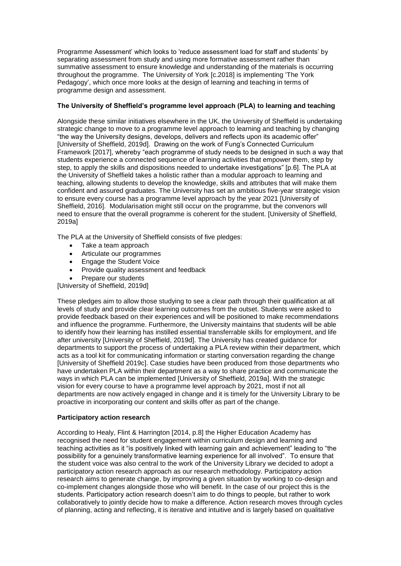Programme Assessment' which looks to 'reduce assessment load for staff and students' by separating assessment from study and using more formative assessment rather than summative assessment to ensure knowledge and understanding of the materials is occurring throughout the programme. The University of York [c.2018] is implementing 'The York Pedagogy', which once more looks at the design of learning and teaching in terms of programme design and assessment.

### **The University of Sheffield's programme level approach (PLA) to learning and teaching**

Alongside these similar initiatives elsewhere in the UK, the University of Sheffield is undertaking strategic change to move to a programme level approach to learning and teaching by changing "the way the University designs, develops, delivers and reflects upon its academic offer" [University of Sheffield, 2019d]. Drawing on the work of Fung's Connected Curriculum Framework [2017], whereby "each programme of study needs to be designed in such a way that students experience a connected sequence of learning activities that empower them, step by step, to apply the skills and dispositions needed to undertake investigations" [p.6]. The PLA at the University of Sheffield takes a holistic rather than a modular approach to learning and teaching, allowing students to develop the knowledge, skills and attributes that will make them confident and assured graduates. The University has set an ambitious five-year strategic vision to ensure every course has a programme level approach by the year 2021 [University of Sheffield, 2016]. Modularisation might still occur on the programme, but the convenors will need to ensure that the overall programme is coherent for the student. [University of Sheffield, 2019a]

The PLA at the University of Sheffield consists of five pledges:

- Take a team approach
- Articulate our programmes
- Engage the Student Voice
- Provide quality assessment and feedback
- Prepare our students

[University of Sheffield, 2019d]

These pledges aim to allow those studying to see a clear path through their qualification at all levels of study and provide clear learning outcomes from the outset. Students were asked to provide feedback based on their experiences and will be positioned to make recommendations and influence the programme. Furthermore, the University maintains that students will be able to identify how their learning has instilled essential transferrable skills for employment, and life after university [University of Sheffield, 2019d]. The University has created guidance for departments to support the process of undertaking a PLA review within their department, which acts as a tool kit for communicating information or starting conversation regarding the change [University of Sheffield 2019c]. Case studies have been produced from those departments who have undertaken PLA within their department as a way to share practice and communicate the ways in which PLA can be implemented [University of Sheffield, 2019a]. With the strategic vision for every course to have a programme level approach by 2021, most if not all departments are now actively engaged in change and it is timely for the University Library to be proactive in incorporating our content and skills offer as part of the change.

#### **Participatory action research**

According to Healy, Flint & Harrington [2014, p.8] the Higher Education Academy has recognised the need for student engagement within curriculum design and learning and teaching activities as it "is positively linked with learning gain and achievement" leading to "the possibility for a genuinely transformative learning experience for all involved". To ensure that the student voice was also central to the work of the University Library we decided to adopt a participatory action research approach as our research methodology. Participatory action research aims to generate change, by improving a given situation by working to co-design and co-implement changes alongside those who will benefit. In the case of our project this is the students. Participatory action research doesn't aim to do things to people, but rather to work collaboratively to jointly decide how to make a difference. Action research moves through cycles of planning, acting and reflecting, it is iterative and intuitive and is largely based on qualitative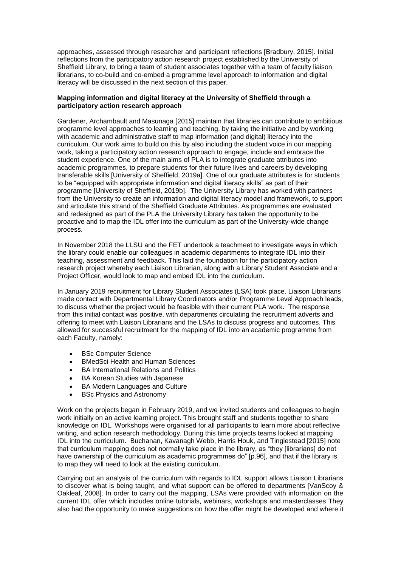approaches, assessed through researcher and participant reflections [Bradbury, 2015]. Initial reflections from the participatory action research project established by the University of Sheffield Library, to bring a team of student associates together with a team of faculty liaison librarians, to co-build and co-embed a programme level approach to information and digital literacy will be discussed in the next section of this paper.

#### **Mapping information and digital literacy at the University of Sheffield through a participatory action research approach**

Gardener, Archambault and Masunaga [2015] maintain that libraries can contribute to ambitious programme level approaches to learning and teaching, by taking the initiative and by working with academic and administrative staff to map information (and digital) literacy into the curriculum. Our work aims to build on this by also including the student voice in our mapping work, taking a participatory action research approach to engage, include and embrace the student experience. One of the main aims of PLA is to integrate graduate attributes into academic programmes, to prepare students for their future lives and careers by developing transferable skills [University of Sheffield, 2019a]. One of our graduate attributes is for students to be "equipped with appropriate information and digital literacy skills" as part of their programme [University of Sheffield, 2019b]. The University Library has worked with partners from the University to create an information and digital literacy model and framework, to support and articulate this strand of the Sheffield Graduate Attributes. As programmes are evaluated and redesigned as part of the PLA the University Library has taken the opportunity to be proactive and to map the IDL offer into the curriculum as part of the University-wide change process.

In November 2018 the LLSU and the FET undertook a teachmeet to investigate ways in which the library could enable our colleagues in academic departments to integrate IDL into their teaching, assessment and feedback. This laid the foundation for the participatory action research project whereby each Liaison Librarian, along with a Library Student Associate and a Project Officer, would look to map and embed IDL into the curriculum.

In January 2019 recruitment for Library Student Associates (LSA) took place. Liaison Librarians made contact with Departmental Library Coordinators and/or Programme Level Approach leads, to discuss whether the project would be feasible with their current PLA work. The response from this initial contact was positive, with departments circulating the recruitment adverts and offering to meet with Liaison Librarians and the LSAs to discuss progress and outcomes. This allowed for successful recruitment for the mapping of IDL into an academic programme from each Faculty, namely:

- BSc Computer Science
- BMedSci Health and Human Sciences
- BA International Relations and Politics
- BA Korean Studies with Japanese
- BA Modern Languages and Culture
- BSc Physics and Astronomy

Work on the projects began in February 2019, and we invited students and colleagues to begin work initially on an active learning project. This brought staff and students together to share knowledge on IDL. Workshops were organised for all participants to learn more about reflective writing, and action research methodology. During this time projects teams looked at mapping IDL into the curriculum. Buchanan, Kavanagh Webb, Harris Houk, and Tinglestead [2015] note that curriculum mapping does not normally take place in the library, as "they [librarians] do not have ownership of the curriculum as academic programmes do" [p.96], and that if the library is to map they will need to look at the existing curriculum.

Carrying out an analysis of the curriculum with regards to IDL support allows Liaison Librarians to discover what is being taught, and what support can be offered to departments [VanScoy & Oakleaf, 2008]. In order to carry out the mapping, LSAs were provided with information on the current IDL offer which includes online tutorials, webinars, workshops and masterclasses They also had the opportunity to make suggestions on how the offer might be developed and where it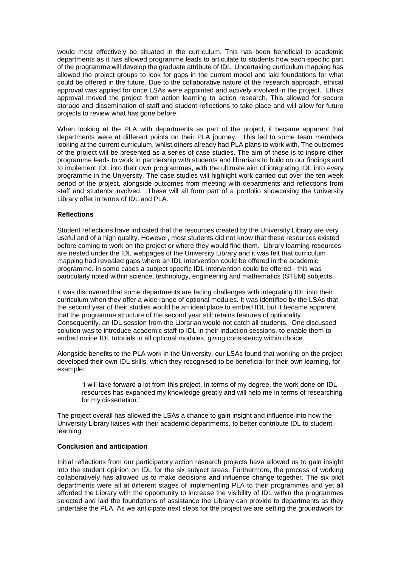would most effectively be situated in the curriculum. This has been beneficial to academic departments as it has allowed programme leads to articulate to students how each specific part of the programme will develop the graduate attribute of IDL. Undertaking curriculum mapping has allowed the project groups to look for gaps in the current model and laid foundations for what could be offered in the future. Due to the collaborative nature of the research approach, ethical approval was applied for once LSAs were appointed and actively involved in the project. Ethics approval moved the project from action learning to action research. This allowed for secure storage and dissemination of staff and student reflections to take place and will allow for future projects to review what has gone before.

When looking at the PLA with departments as part of the project, it became apparent that departments were at different points on their PLA journey. This led to some team members looking at the current curriculum, whilst others already had PLA plans to work with. The outcomes of the project will be presented as a series of case studies. The aim of these is to inspire other programme leads to work in partnership with students and librarians to build on our findings and to implement IDL into their own programmes, with the ultimate aim of integrating IDL into every programme in the University. The case studies will highlight work carried out over the ten week period of the project, alongside outcomes from meeting with departments and reflections from staff and students involved. These will all form part of a portfolio showcasing the University Library offer in terms of IDL and PLA.

#### **Reflections**

Student reflections have indicated that the resources created by the University Library are very useful and of a high quality. However, most students did not know that these resources existed before coming to work on the project or where they would find them. Library learning resources are nested under the IDL webpages of the University Library and it was felt that curriculum mapping had revealed gaps where an IDL intervention could be offered in the academic programme. In some cases a subject specific IDL intervention could be offered - this was particularly noted within science, technology, engineering and mathematics (STEM) subjects.

It was discovered that some departments are facing challenges with integrating IDL into their curriculum when they offer a wide range of optional modules. It was identified by the LSAs that the second year of their studies would be an ideal place to embed IDL but it became apparent that the programme structure of the second year still retains features of optionality. Consequently, an IDL session from the Librarian would not catch all students. One discussed solution was to introduce academic staff to IDL in their induction sessions, to enable them to embed online IDL tutorials in all optional modules, giving consistency within choice.

Alongside benefits to the PLA work in the University, our LSAs found that working on the project developed their own IDL skills, which they recognised to be beneficial for their own learning, for example:

"I will take forward a lot from this project. In terms of my degree, the work done on IDL resources has expanded my knowledge greatly and will help me in terms of researching for my dissertation."

The project overall has allowed the LSAs a chance to gain insight and influence into how the University Library liaises with their academic departments, to better contribute IDL to student learning.

#### **Conclusion and anticipation**

Initial reflections from our participatory action research projects have allowed us to gain insight into the student opinion on IDL for the six subject areas. Furthermore, the process of working collaboratively has allowed us to make decisions and influence change together. The six pilot departments were all at different stages of implementing PLA to their programmes and yet all afforded the Library with the opportunity to increase the visibility of IDL within the programmes selected and laid the foundations of assistance the Library can provide to departments as they undertake the PLA. As we anticipate next steps for the project we are setting the groundwork for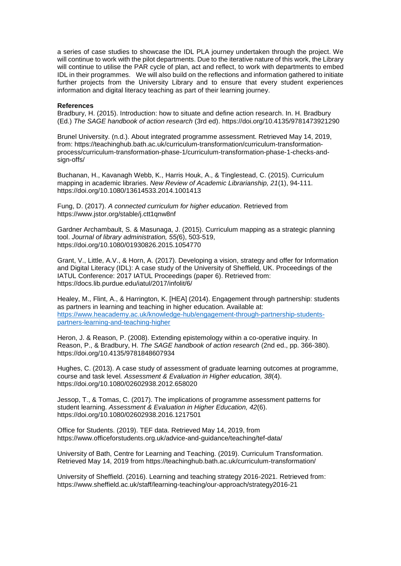a series of case studies to showcase the IDL PLA journey undertaken through the project. We will continue to work with the pilot departments. Due to the iterative nature of this work, the Library will continue to utilise the PAR cycle of plan, act and reflect, to work with departments to embed IDL in their programmes. We will also build on the reflections and information gathered to initiate further projects from the University Library and to ensure that every student experiences information and digital literacy teaching as part of their learning journey.

#### **References**

Bradbury, H. (2015). Introduction: how to situate and define action research. In. H. Bradbury (Ed.) *The SAGE handbook of action research* (3rd ed). https://doi.org/10.4135/9781473921290

Brunel University. (n.d.). About integrated programme assessment. Retrieved May 14, 2019, from: https://teachinghub.bath.ac.uk/curriculum-transformation/curriculum-transformationprocess/curriculum-transformation-phase-1/curriculum-transformation-phase-1-checks-andsign-offs/

Buchanan, H., Kavanagh Webb, K., Harris Houk, A., & Tinglestead, C. (2015). Curriculum mapping in academic libraries. *New Review of Academic Librarianship, 21*(1), 94-111. https://doi.org/10.1080/13614533.2014.1001413

Fung, D. (2017). *A connected curriculum for higher education*. Retrieved from https://www.jstor.org/stable/j.ctt1qnw8nf

Gardner Archambault, S. & Masunaga, J. (2015). Curriculum mapping as a strategic planning tool. *Journal of library administration, 55(*6), 503-519, https://doi.org/10.1080/01930826.2015.1054770

Grant, V., Little, A.V., & Horn, A. (2017). Developing a vision, strategy and offer for Information and Digital Literacy (IDL): A case study of the University of Sheffield, UK. Proceedings of the IATUL Conference: 2017 IATUL Proceedings (paper 6). Retrieved from: https://docs.lib.purdue.edu/iatul/2017/infolit/6/

Healey, M., Flint, A., & Harrington, K. [HEA] (2014). Engagement through partnership: students as partners in learning and teaching in higher education. Available at: [https://www.heacademy.ac.uk/knowledge-hub/engagement-through-partnership-students](https://www.heacademy.ac.uk/knowledge-hub/engagement-through-partnership-students-partners-learning-and-teaching-higher)[partners-learning-and-teaching-higher](https://www.heacademy.ac.uk/knowledge-hub/engagement-through-partnership-students-partners-learning-and-teaching-higher)

Heron, J. & Reason, P. (2008). Extending epistemology within a co-operative inquiry. In Reason, P., & Bradbury, H. *The SAGE handbook of action research* (2nd ed., pp. 366-380). https://doi.org/10.4135/9781848607934

Hughes, C. (2013). A case study of assessment of graduate learning outcomes at programme, course and task level*. Assessment & Evaluation in Higher education, 38*(4). https://doi.org/10.1080/02602938.2012.658020

Jessop, T., & Tomas, C. (2017). The implications of programme assessment patterns for student learning. *Assessment & Evaluation in Higher Education, 42*(6). https://doi.org/10.1080/02602938.2016.1217501

Office for Students. (2019). TEF data. Retrieved May 14, 2019, from https://www.officeforstudents.org.uk/advice-and-guidance/teaching/tef-data/

University of Bath, Centre for Learning and Teaching. (2019). Curriculum Transformation. Retrieved May 14, 2019 from https://teachinghub.bath.ac.uk/curriculum-transformation/

University of Sheffield. (2016). Learning and teaching strategy 2016-2021. Retrieved from: https://www.sheffield.ac.uk/staff/learning-teaching/our-approach/strategy2016-21